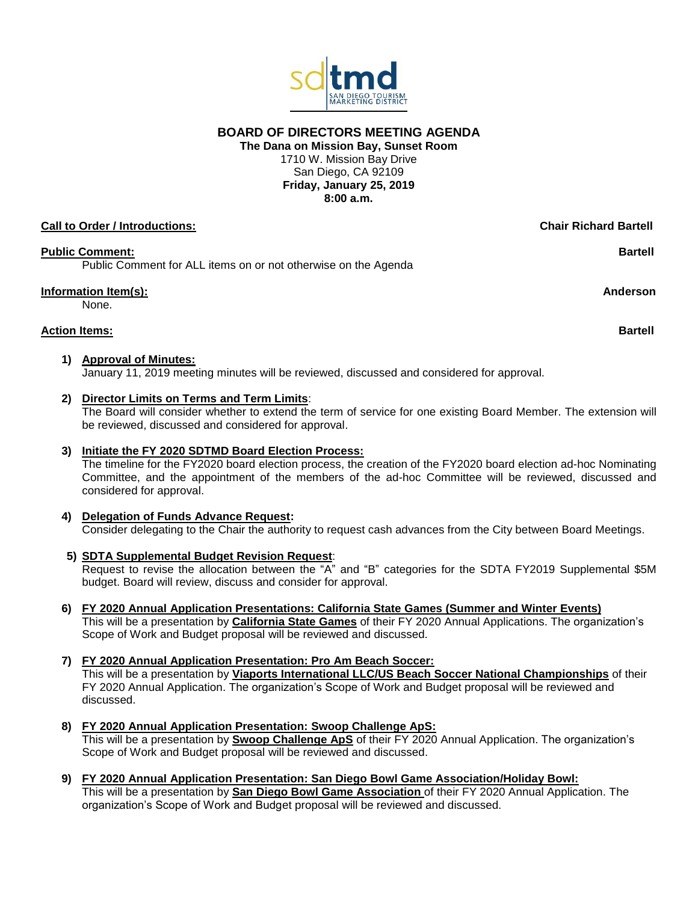

**BOARD OF DIRECTORS MEETING AGENDA**

**The Dana on Mission Bay, Sunset Room** 1710 W. Mission Bay Drive San Diego, CA 92109 **Friday, January 25, 2019 8:00 a.m.**

# **Call to Order / Introductions: Chair Richard Bartell Public Comment: Bartell** Public Comment for ALL items on or not otherwise on the Agenda **Information Item(s): Anderson** None. **Action Items: Bartell**

### **1) Approval of Minutes:** January 11, 2019 meeting minutes will be reviewed, discussed and considered for approval.

# **2) Director Limits on Terms and Term Limits**:

The Board will consider whether to extend the term of service for one existing Board Member. The extension will be reviewed, discussed and considered for approval.

# **3) Initiate the FY 2020 SDTMD Board Election Process:**

The timeline for the FY2020 board election process, the creation of the FY2020 board election ad-hoc Nominating Committee, and the appointment of the members of the ad-hoc Committee will be reviewed, discussed and considered for approval.

# **4) Delegation of Funds Advance Request:** Consider delegating to the Chair the authority to request cash advances from the City between Board Meetings.

**5) SDTA Supplemental Budget Revision Request**:

Request to revise the allocation between the "A" and "B" categories for the SDTA FY2019 Supplemental \$5M budget. Board will review, discuss and consider for approval.

- **6) FY 2020 Annual Application Presentations: California State Games (Summer and Winter Events)** This will be a presentation by **California State Games** of their FY 2020 Annual Applications. The organization's Scope of Work and Budget proposal will be reviewed and discussed.
- **7) FY 2020 Annual Application Presentation: Pro Am Beach Soccer:**  This will be a presentation by **Viaports International LLC/US Beach Soccer National Championships** of their FY 2020 Annual Application. The organization's Scope of Work and Budget proposal will be reviewed and discussed.
- **8) FY 2020 Annual Application Presentation: Swoop Challenge ApS:** This will be a presentation by **Swoop Challenge ApS** of their FY 2020 Annual Application. The organization's Scope of Work and Budget proposal will be reviewed and discussed.
- **9) FY 2020 Annual Application Presentation: San Diego Bowl Game Association/Holiday Bowl:** This will be a presentation by **San Diego Bowl Game Association** of their FY 2020 Annual Application. The organization's Scope of Work and Budget proposal will be reviewed and discussed.